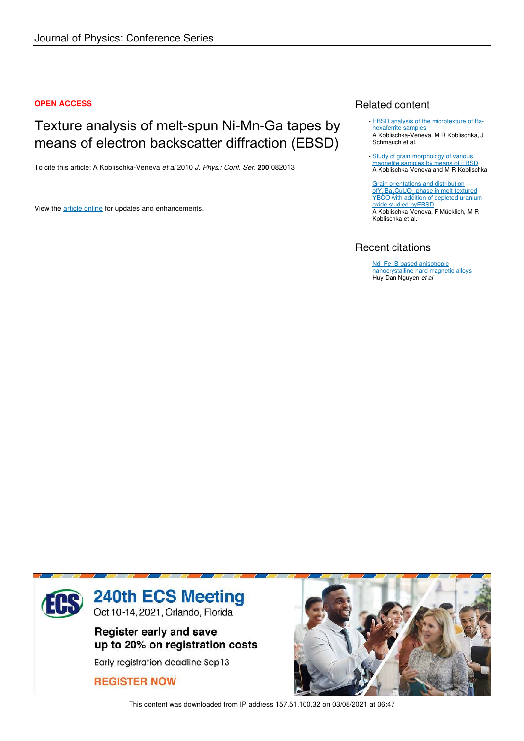### **OPEN ACCESS**

# Texture analysis of melt-spun Ni-Mn-Ga tapes by means of electron backscatter diffraction (EBSD)

To cite this article: A Koblischka-Veneva *et al* 2010 *J. Phys.: Conf. Ser.* **200** 082013

View the article online for updates and enhancements.

# Related content

- **EBSD** analysis of the microtexture of Bahexaferrite samples A Koblischka-Veneva, M R Koblischka, J Schmauch et al.
- Study of grain morphology of various magnetite samples by means of EBSD A Koblischka-Veneva and M R Koblischka -
- Grain orientations and distribution ofY<sup>2</sup> Ba<sup>4</sup> CuUO*<sup>x</sup>* phase in melt-textured YBCO with addition of depleted uranium oxide studied byEBSD A Koblischka-Veneva, F Mücklich, M R Koblischka et al. -

# Recent citations

- Nd–Fe–B-based anisotropic nanocrystalline hard magnetic alloys Huy Dan Nguyen *et al*



This content was downloaded from IP address 157.51.100.32 on 03/08/2021 at 06:47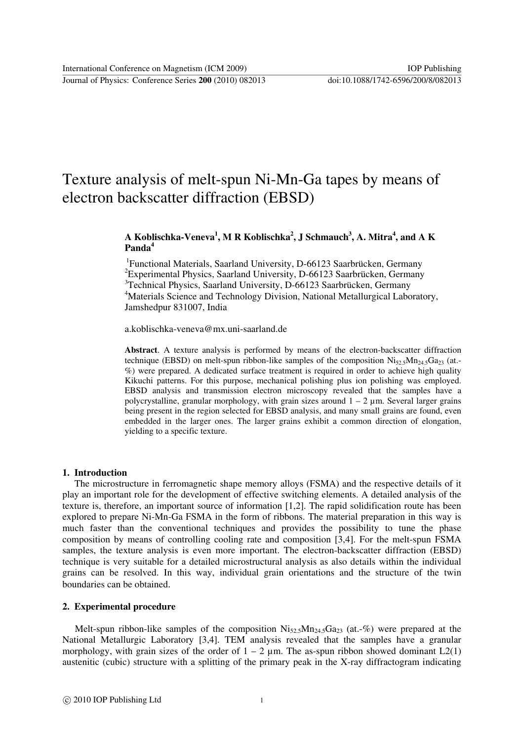Journal of Physics: Conference Series **200** (2010) 082013 doi:10.1088/1742-6596/200/8/082013

# Texture analysis of melt-spun Ni-Mn-Ga tapes by means of electron backscatter diffraction (EBSD)

### **A Koblischka-Veneva<sup>1</sup> , M R Koblischka<sup>2</sup> , J Schmauch<sup>3</sup> , A. Mitra<sup>4</sup> , and A K Panda<sup>4</sup>**

<sup>1</sup>Functional Materials, Saarland University, D-66123 Saarbrücken, Germany <sup>2</sup>Experimental Physics, Saarland University, D-66123 Saarbrücken, Germany <sup>3</sup>Technical Physics, Saarland University, D-66123 Saarbrücken, Germany <sup>4</sup>Materials Science and Technology Division, National Metallurgical Laboratory, Jamshedpur 831007, India

a.koblischka-veneva@mx.uni-saarland.de

**Abstract**. A texture analysis is performed by means of the electron-backscatter diffraction technique (EBSD) on melt-spun ribbon-like samples of the composition  $Ni_{52,5}Mn_{24,5}Ga_{23}$  (at.-%) were prepared. A dedicated surface treatment is required in order to achieve high quality Kikuchi patterns. For this purpose, mechanical polishing plus ion polishing was employed. EBSD analysis and transmission electron microscopy revealed that the samples have a polycrystalline, granular morphology, with grain sizes around  $1 - 2 \mu m$ . Several larger grains being present in the region selected for EBSD analysis, and many small grains are found, even embedded in the larger ones. The larger grains exhibit a common direction of elongation, yielding to a specific texture.

#### **1. Introduction**

 The microstructure in ferromagnetic shape memory alloys (FSMA) and the respective details of it play an important role for the development of effective switching elements. A detailed analysis of the texture is, therefore, an important source of information [1,2]. The rapid solidification route has been explored to prepare Ni-Mn-Ga FSMA in the form of ribbons. The material preparation in this way is much faster than the conventional techniques and provides the possibility to tune the phase composition by means of controlling cooling rate and composition [3,4]. For the melt-spun FSMA samples, the texture analysis is even more important. The electron-backscatter diffraction (EBSD) technique is very suitable for a detailed microstructural analysis as also details within the individual grains can be resolved. In this way, individual grain orientations and the structure of the twin boundaries can be obtained.

#### **2. Experimental procedure**

Melt-spun ribbon-like samples of the composition  $Ni_{52,5}Mn_{24,5}Ga_{23}$  (at.-%) were prepared at the National Metallurgic Laboratory [3,4]. TEM analysis revealed that the samples have a granular morphology, with grain sizes of the order of  $1 - 2 \mu$ m. The as-spun ribbon showed dominant L2(1) austenitic (cubic) structure with a splitting of the primary peak in the X-ray diffractogram indicating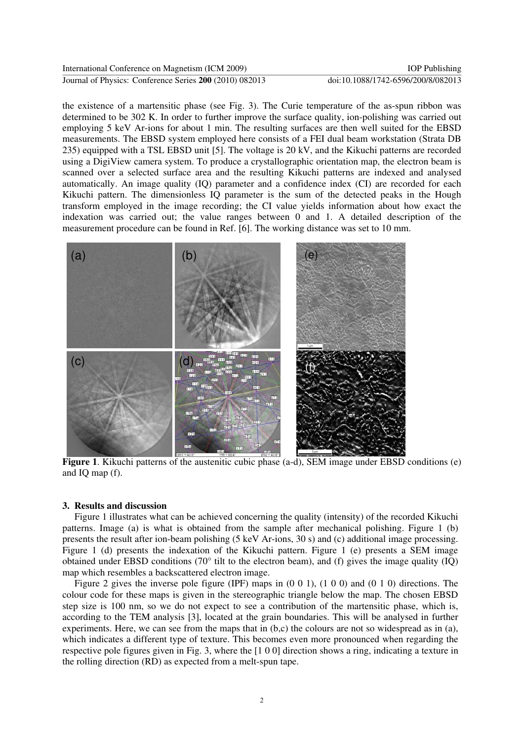Journal of Physics: Conference Series **200** (2010) 082013 doi:10.1088/1742-6596/200/8/082013

the existence of a martensitic phase (see Fig. 3). The Curie temperature of the as-spun ribbon was determined to be 302 K. In order to further improve the surface quality, ion-polishing was carried out employing 5 keV Ar-ions for about 1 min. The resulting surfaces are then well suited for the EBSD measurements. The EBSD system employed here consists of a FEI dual beam workstation (Strata DB 235) equipped with a TSL EBSD unit [5]. The voltage is 20 kV, and the Kikuchi patterns are recorded using a DigiView camera system. To produce a crystallographic orientation map, the electron beam is scanned over a selected surface area and the resulting Kikuchi patterns are indexed and analysed automatically. An image quality (IQ) parameter and a confidence index (CI) are recorded for each Kikuchi pattern. The dimensionless IQ parameter is the sum of the detected peaks in the Hough transform employed in the image recording; the CI value yields information about how exact the indexation was carried out; the value ranges between 0 and 1. A detailed description of the measurement procedure can be found in Ref. [6]. The working distance was set to 10 mm. International Conference on Magnetism (ICM 2009)<br>
Journal of Physics: Conference Striss 2001 (001) 002013<br>
Uncertained the existence of a maternstitic phase (see Fig. 3). The Curie temperature of the as-spun ribbon was<br>
d



**Figure 1**. Kikuchi patterns of the austenitic cubic phase (a-d), SEM image under EBSD conditions (e) and IQ map (f).

#### **3. Results and discussion**

 Figure 1 illustrates what can be achieved concerning the quality (intensity) of the recorded Kikuchi patterns. Image (a) is what is obtained from the sample after mechanical polishing. Figure 1 (b) presents the result after ion-beam polishing (5 keV Ar-ions, 30 s) and (c) additional image processing. Figure 1 (d) presents the indexation of the Kikuchi pattern. Figure 1 (e) presents a SEM image obtained under EBSD conditions (70° tilt to the electron beam), and (f) gives the image quality (IQ) map which resembles a backscattered electron image.

 Figure 2 gives the inverse pole figure (IPF) maps in (0 0 1), (1 0 0) and (0 1 0) directions. The colour code for these maps is given in the stereographic triangle below the map. The chosen EBSD step size is 100 nm, so we do not expect to see a contribution of the martensitic phase, which is, according to the TEM analysis [3], located at the grain boundaries. This will be analysed in further experiments. Here, we can see from the maps that in (b,c) the colours are not so widespread as in (a), which indicates a different type of texture. This becomes even more pronounced when regarding the respective pole figures given in Fig. 3, where the [1 0 0] direction shows a ring, indicating a texture in the rolling direction (RD) as expected from a melt-spun tape.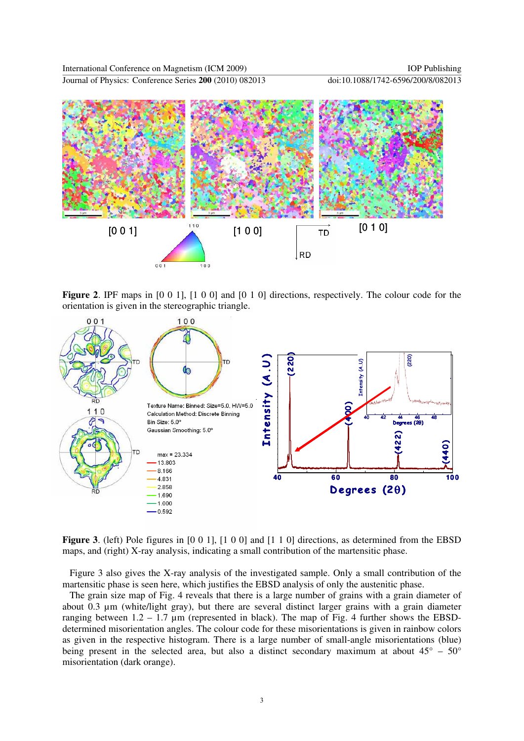Journal of Physics: Conference Series **200** (2010) 082013 doi:10.1088/1742-6596/200/8/082013



**Figure 2.** IPF maps in [0 0 1], [1 0 0] and [0 1 0] directions, respectively. The colour code for the orientation is given in the stereographic triangle.



**Figure 3**. (left) Pole figures in [0 0 1], [1 0 0] and [1 1 0] directions, as determined from the EBSD maps, and (right) X-ray analysis, indicating a small contribution of the martensitic phase.

 Figure 3 also gives the X-ray analysis of the investigated sample. Only a small contribution of the martensitic phase is seen here, which justifies the EBSD analysis of only the austenitic phase.

 The grain size map of Fig. 4 reveals that there is a large number of grains with a grain diameter of about 0.3 µm (white/light gray), but there are several distinct larger grains with a grain diameter ranging between  $1.2 - 1.7 \mu m$  (represented in black). The map of Fig. 4 further shows the EBSDdetermined misorientation angles. The colour code for these misorientations is given in rainbow colors as given in the respective histogram. There is a large number of small-angle misorientations (blue) being present in the selected area, but also a distinct secondary maximum at about  $45^{\circ}$  –  $50^{\circ}$ misorientation (dark orange).